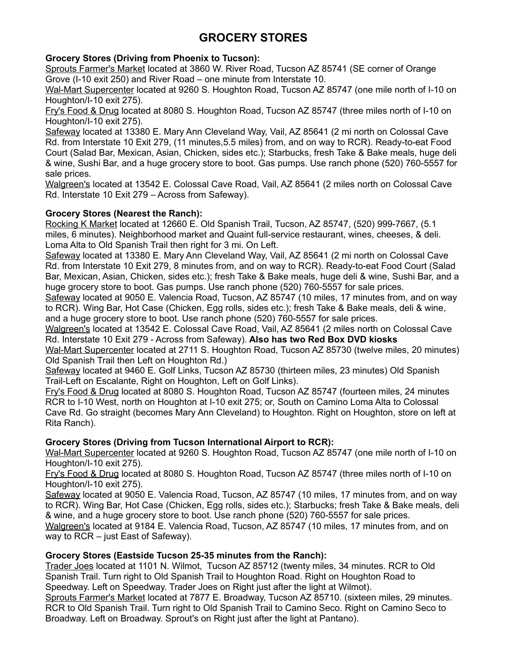# **GROCERY STORES**

# **Grocery Stores (Driving from Phoenix to Tucson):**

Sprouts Farmer's Market located at 3860 W. River Road, Tucson AZ 85741 (SE corner of Orange Grove (I-10 exit 250) and River Road – one minute from Interstate 10.

Wal-Mart Supercenter located at 9260 S. Houghton Road, Tucson AZ 85747 (one mile north of I-10 on Houghton/I-10 exit 275).

Fry's Food & Drug located at 8080 S. Houghton Road, Tucson AZ 85747 (three miles north of I-10 on Houghton/I-10 exit 275).

Safeway located at 13380 E. Mary Ann Cleveland Way, Vail, AZ 85641 (2 mi north on Colossal Cave Rd. from Interstate 10 Exit 279, (11 minutes,5.5 miles) from, and on way to RCR). Ready-to-eat Food Court (Salad Bar, Mexican, Asian, Chicken, sides etc.); Starbucks, fresh Take & Bake meals, huge deli & wine, Sushi Bar, and a huge grocery store to boot. Gas pumps. Use ranch phone (520) 760-5557 for sale prices.

Walgreen's located at 13542 E. Colossal Cave Road, Vail, AZ 85641 (2 miles north on Colossal Cave Rd. Interstate 10 Exit 279 – Across from Safeway).

# **Grocery Stores (Nearest the Ranch):**

Rocking K Market located at 12660 E. Old Spanish Trail, Tucson, AZ 85747, (520) 999-7667, (5.1 miles, 6 minutes). Neighborhood market and Quaint full-service restaurant, wines, cheeses, & deli. Loma Alta to Old Spanish Trail then right for 3 mi. On Left.

Safeway located at 13380 E. Mary Ann Cleveland Way, Vail, AZ 85641 (2 mi north on Colossal Cave Rd. from Interstate 10 Exit 279, 8 minutes from, and on way to RCR). Ready-to-eat Food Court (Salad Bar, Mexican, Asian, Chicken, sides etc.); fresh Take & Bake meals, huge deli & wine, Sushi Bar, and a huge grocery store to boot. Gas pumps. Use ranch phone (520) 760-5557 for sale prices.

Safeway located at 9050 E. Valencia Road, Tucson, AZ 85747 (10 miles, 17 minutes from, and on way to RCR). Wing Bar, Hot Case (Chicken, Egg rolls, sides etc.); fresh Take & Bake meals, deli & wine, and a huge grocery store to boot. Use ranch phone (520) 760-5557 for sale prices.

Walgreen's located at 13542 E. Colossal Cave Road, Vail, AZ 85641 (2 miles north on Colossal Cave Rd. Interstate 10 Exit 279 - Across from Safeway). **Also has two Red Box DVD kiosks**

Wal-Mart Supercenter located at 2711 S. Houghton Road, Tucson AZ 85730 (twelve miles, 20 minutes) Old Spanish Trail then Left on Houghton Rd.)

Safeway located at 9460 E. Golf Links, Tucson AZ 85730 (thirteen miles, 23 minutes) Old Spanish Trail-Left on Escalante, Right on Houghton, Left on Golf Links).

Fry's Food & Drug located at 8080 S. Houghton Road, Tucson AZ 85747 (fourteen miles, 24 minutes RCR to I-10 West, north on Houghton at I-10 exit 275; or, South on Camino Loma Alta to Colossal Cave Rd. Go straight (becomes Mary Ann Cleveland) to Houghton. Right on Houghton, store on left at Rita Ranch).

# **Grocery Stores (Driving from Tucson International Airport to RCR):**

Wal-Mart Supercenter located at 9260 S. Houghton Road, Tucson AZ 85747 (one mile north of I-10 on Houghton/I-10 exit 275).

Fry's Food & Drug located at 8080 S. Houghton Road, Tucson AZ 85747 (three miles north of I-10 on Houghton/I-10 exit 275).

Safeway located at 9050 E. Valencia Road, Tucson, AZ 85747 (10 miles, 17 minutes from, and on way to RCR). Wing Bar, Hot Case (Chicken, Egg rolls, sides etc.); Starbucks; fresh Take & Bake meals, deli & wine, and a huge grocery store to boot. Use ranch phone (520) 760-5557 for sale prices.

Walgreen's located at 9184 E. Valencia Road, Tucson, AZ 85747 (10 miles, 17 minutes from, and on way to RCR – just East of Safeway).

## **Grocery Stores (Eastside Tucson 25-35 minutes from the Ranch):**

Trader Joes located at 1101 N. Wilmot, Tucson AZ 85712 (twenty miles, 34 minutes. RCR to Old Spanish Trail. Turn right to Old Spanish Trail to Houghton Road. Right on Houghton Road to Speedway. Left on Speedway. Trader Joes on Right just after the light at Wilmot).

Sprouts Farmer's Market located at 7877 E. Broadway, Tucson AZ 85710. (sixteen miles, 29 minutes. RCR to Old Spanish Trail. Turn right to Old Spanish Trail to Camino Seco. Right on Camino Seco to Broadway. Left on Broadway. Sprout's on Right just after the light at Pantano).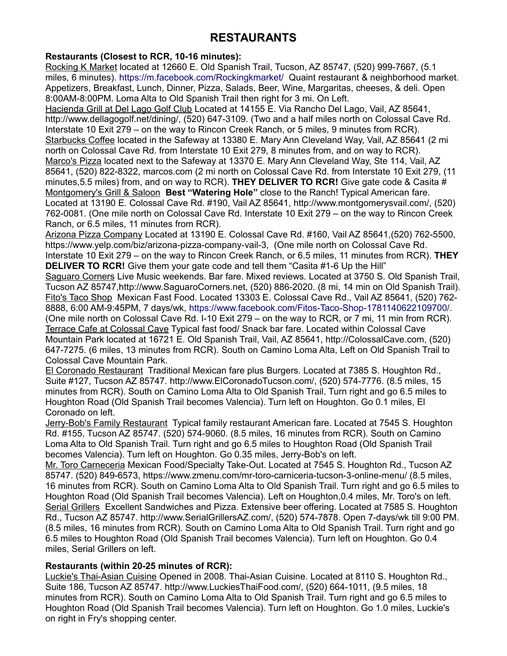# **RESTAURANTS**

# **Restaurants (Closest to RCR, 10-16 minutes):**

Rocking K Market located at 12660 E. Old Spanish Trail, Tucson, AZ 85747, (520) 999-7667, (5.1 miles, 6 minutes).<https://m.facebook.com/Rockingkmarket/>Quaint restaurant & neighborhood market. Appetizers, Breakfast, Lunch, Dinner, Pizza, Salads, Beer, Wine, Margaritas, cheeses, & deli. Open 8:00AM-8:00PM. Loma Alta to Old Spanish Trail then right for 3 mi. On Left.

Hacienda Grill at Del Lago Golf Club Located at 14155 E. Via Rancho Del Lago, Vail, AZ 85641, http://www.dellagogolf.net/dining/, (520) 647-3109. (Two and a half miles north on Colossal Cave Rd. Interstate 10 Exit 279 – on the way to Rincon Creek Ranch, or 5 miles, 9 minutes from RCR). Starbucks Coffee located in the Safeway at 13380 E. Mary Ann Cleveland Way, Vail, AZ 85641 (2 mi north on Colossal Cave Rd. from Interstate 10 Exit 279, 8 minutes from, and on way to RCR). Marco's Pizza located next to the Safeway at 13370 E. Mary Ann Cleveland Way, Ste 114, Vail, AZ 85641, (520) 822-8322, marcos.com (2 mi north on Colossal Cave Rd. from Interstate 10 Exit 279, (11 minutes,5.5 miles) from, and on way to RCR). **THEY DELIVER TO RCR!** Give gate code & Casita # Montgomery's Grill & Saloon **Best "Watering Hole"** close to the Ranch! Typical American fare. Located at 13190 E. Colossal Cave Rd. #190, Vail AZ 85641, http://www.montgomerysvail.com/, (520) 762-0081. (One mile north on Colossal Cave Rd. Interstate 10 Exit 279 – on the way to Rincon Creek Ranch, or 6.5 miles, 11 minutes from RCR).

Arizona Pizza Company Located at 13190 E. Colossal Cave Rd. #160, Vail AZ 85641, (520) 762-5500, https://www.yelp.com/biz/arizona-pizza-company-vail-3, (One mile north on Colossal Cave Rd. Interstate 10 Exit 279 – on the way to Rincon Creek Ranch, or 6.5 miles, 11 minutes from RCR). **THEY DELIVER TO RCR!** Give them your gate code and tell them "Casita #1-6 Up the Hill"

Saguaro Corners Live Music weekends. Bar fare. Mixed reviews. Located at 3750 S. Old Spanish Trail, Tucson AZ 85747,http://www.SaguaroCorners.net, (520) 886-2020. (8 mi, 14 min on Old Spanish Trail). Fito's Taco Shop Mexican Fast Food. Located 13303 E. Colossal Cave Rd., Vail AZ 85641, (520) 762- 8888, 6:00 AM-9:45PM, 7 days/wk, [https://www.facebook.com/Fitos-Taco-Shop-1781140622109700/.](https://www.facebook.com/Fitos-Taco-Shop-1781140622109700/) (One mile north on Colossal Cave Rd. I-10 Exit 279 – on the way to RCR, or 7 mi, 11 min from RCR). Terrace Cafe at Colossal Cave Typical fast food/ Snack bar fare. Located within Colossal Cave Mountain Park located at 16721 E. Old Spanish Trail, Vail, AZ 85641, http://ColossalCave.com, (520) 647-7275. (6 miles, 13 minutes from RCR). South on Camino Loma Alta, Left on Old Spanish Trail to Colossal Cave Mountain Park.

El Coronado Restaurant Traditional Mexican fare plus Burgers. Located at 7385 S. Houghton Rd., Suite #127, Tucson AZ 85747. http://www.ElCoronadoTucson.com/, (520) 574-7776. (8.5 miles, 15 minutes from RCR). South on Camino Loma Alta to Old Spanish Trail. Turn right and go 6.5 miles to Houghton Road (Old Spanish Trail becomes Valencia). Turn left on Houghton. Go 0.1 miles, El Coronado on left.

Jerry-Bob's Family Restaurant Typical family restaurant American fare. Located at 7545 S. Houghton Rd. #155, Tucson AZ 85747. (520) 574-9060. (8.5 miles, 16 minutes from RCR). South on Camino Loma Alta to Old Spanish Trail. Turn right and go 6.5 miles to Houghton Road (Old Spanish Trail becomes Valencia). Turn left on Houghton. Go 0.35 miles, Jerry-Bob's on left.

Mr. Toro Carneceria Mexican Food/Specialty Take-Out. Located at 7545 S. Houghton Rd., Tucson AZ 85747. (520) 849-6573, https://www.zmenu.com/mr-toro-carniceria-tucson-3-online-menu/ (8.5 miles, 16 minutes from RCR). South on Camino Loma Alta to Old Spanish Trail. Turn right and go 6.5 miles to Houghton Road (Old Spanish Trail becomes Valencia). Left on Houghton,0.4 miles, Mr. Toro's on left. Serial Grillers Excellent Sandwiches and Pizza. Extensive beer offering. Located at 7585 S. Houghton Rd., Tucson AZ 85747. http://www.SerialGrillersAZ.com/, (520) 574-7878. Open 7-days/wk till 9:00 PM. (8.5 miles, 16 minutes from RCR). South on Camino Loma Alta to Old Spanish Trail. Turn right and go 6.5 miles to Houghton Road (Old Spanish Trail becomes Valencia). Turn left on Houghton. Go 0.4 miles, Serial Grillers on left.

## **Restaurants (within 20-25 minutes of RCR):**

Luckie's Thai-Asian Cuisine Opened in 2008. Thai-Asian Cuisine. Located at 8110 S. Houghton Rd., Suite 186, Tucson AZ 85747. http://www.LuckiesThaiFood.com/, (520) 664-1011, (9.5 miles, 18 minutes from RCR). South on Camino Loma Alta to Old Spanish Trail. Turn right and go 6.5 miles to Houghton Road (Old Spanish Trail becomes Valencia). Turn left on Houghton. Go 1.0 miles, Luckie's on right in Fry's shopping center.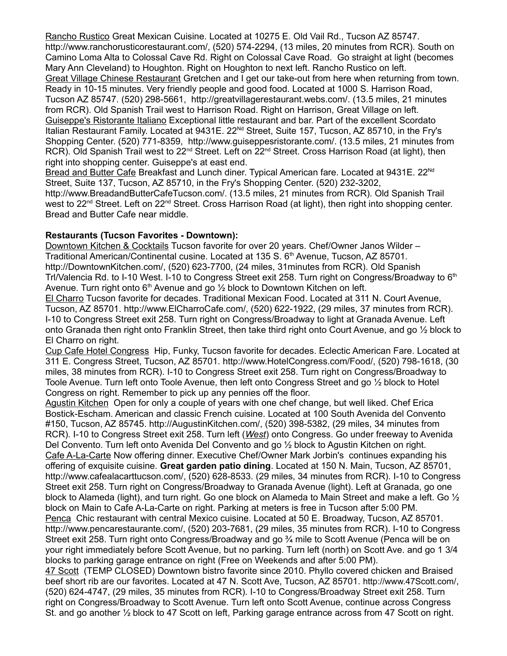Rancho Rustico Great Mexican Cuisine. Located at 10275 E. Old Vail Rd., Tucson AZ 85747. http://www.ranchorusticorestaurant.com/, (520) 574-2294, (13 miles, 20 minutes from RCR). South on Camino Loma Alta to Colossal Cave Rd. Right on Colossal Cave Road. Go straight at light (becomes Mary Ann Cleveland) to Houghton. Right on Houghton to next left. Rancho Rustico on left. Great Village Chinese Restaurant Gretchen and I get our take-out from here when returning from town. Ready in 10-15 minutes. Very friendly people and good food. Located at 1000 S. Harrison Road, Tucson AZ 85747. (520) 298-5661, http://greatvillagerestaurant.webs.com/. (13.5 miles, 21 minutes from RCR). Old Spanish Trail west to Harrison Road. Right on Harrison, Great Village on left. Guiseppe's Ristorante Italiano Exceptional little restaurant and bar. Part of the excellent Scordato Italian Restaurant Family. Located at 9431E. 22<sup>Nd</sup> Street, Suite 157, Tucson, AZ 85710, in the Fry's Shopping Center. (520) 771-8359, http://www.guiseppesristorante.com/. (13.5 miles, 21 minutes from RCR). Old Spanish Trail west to 22<sup>nd</sup> Street. Left on 22<sup>nd</sup> Street. Cross Harrison Road (at light), then right into shopping center. Guiseppe's at east end.

Bread and Butter Cafe Breakfast and Lunch diner. Typical American fare. Located at 9431E. 22<sup>Nd</sup> Street, Suite 137, Tucson, AZ 85710, in the Fry's Shopping Center. (520) 232-3202, http://www.BreadandButterCafeTucson.com/. (13.5 miles, 21 minutes from RCR). Old Spanish Trail west to 22<sup>nd</sup> Street. Left on 22<sup>nd</sup> Street. Cross Harrison Road (at light), then right into shopping center. Bread and Butter Cafe near middle.

#### **Restaurants (Tucson Favorites - Downtown):**

Downtown Kitchen & Cocktails Tucson favorite for over 20 years. Chef/Owner Janos Wilder -Traditional American/Continental cusine. Located at 135 S. 6<sup>th</sup> Avenue, Tucson, AZ 85701. http://DowntownKitchen.com/, (520) 623-7700, (24 miles, 31minutes from RCR). Old Spanish Trl/Valencia Rd. to I-10 West. I-10 to Congress Street exit 258. Turn right on Congress/Broadway to  $6<sup>th</sup>$ Avenue. Turn right onto 6<sup>th</sup> Avenue and go  $\frac{1}{2}$  block to Downtown Kitchen on left.

El Charro Tucson favorite for decades. Traditional Mexican Food. Located at 311 N. Court Avenue, Tucson, AZ 85701. http://www.ElCharroCafe.com/, (520) 622-1922, (29 miles, 37 minutes from RCR). I-10 to Congress Street exit 258. Turn right on Congress/Broadway to light at Granada Avenue. Left onto Granada then right onto Franklin Street, then take third right onto Court Avenue, and go ½ block to El Charro on right.

Cup Cafe Hotel Congress Hip, Funky, Tucson favorite for decades. Eclectic American Fare. Located at 311 E. Congress Street, Tucson, AZ 85701. http://www.HotelCongress.com/Food/, (520) 798-1618, (30 miles, 38 minutes from RCR). I-10 to Congress Street exit 258. Turn right on Congress/Broadway to Toole Avenue. Turn left onto Toole Avenue, then left onto Congress Street and go ½ block to Hotel Congress on right. Remember to pick up any pennies off the floor.

Agustin Kitchen Open for only a couple of years with one chef change, but well liked. Chef Erica Bostick-Escham. American and classic French cuisine. Located at 100 South Avenida del Convento #150, Tucson, AZ 85745. http://AugustinKitchen.com/, (520) 398-5382, (29 miles, 34 minutes from RCR). I-10 to Congress Street exit 258. Turn left (*West*) onto Congress. Go under freeway to Avenida Del Convento. Turn left onto Avenida Del Convento and go ½ block to Agustin Kitchen on right. Cafe A-La-Carte Now offering dinner. Executive Chef/Owner Mark Jorbin's continues expanding his offering of exquisite cuisine. **Great garden patio dining**. Located at 150 N. Main, Tucson, AZ 85701, http://www.cafealacarttucson.com/, (520) 628-8533. (29 miles, 34 minutes from RCR). I-10 to Congress Street exit 258. Turn right on Congress/Broadway to Granada Avenue (light). Left at Granada, go one block to Alameda (light), and turn right. Go one block on Alameda to Main Street and make a left. Go ½ block on Main to Cafe A-La-Carte on right. Parking at meters is free in Tucson after 5:00 PM. Penca Chic restaurant with central Mexico cuisine. Located at 50 E. Broadway, Tucson, AZ 85701. http://www.pencarestaurante.com/, (520) 203-7681, (29 miles, 35 minutes from RCR). I-10 to Congress

Street exit 258. Turn right onto Congress/Broadway and go ¾ mile to Scott Avenue (Penca will be on your right immediately before Scott Avenue, but no parking. Turn left (north) on Scott Ave. and go 1 3/4 blocks to parking garage entrance on right (Free on Weekends and after 5:00 PM).

47 Scott (TEMP CLOSED) Downtown bistro favorite since 2010. Phyllo covered chicken and Braised beef short rib are our favorites. Located at 47 N. Scott Ave, Tucson, AZ 85701. http://www.47Scott.com/, (520) 624-4747, (29 miles, 35 minutes from RCR). I-10 to Congress/Broadway Street exit 258. Turn right on Congress/Broadway to Scott Avenue. Turn left onto Scott Avenue, continue across Congress St. and go another ½ block to 47 Scott on left, Parking garage entrance across from 47 Scott on right.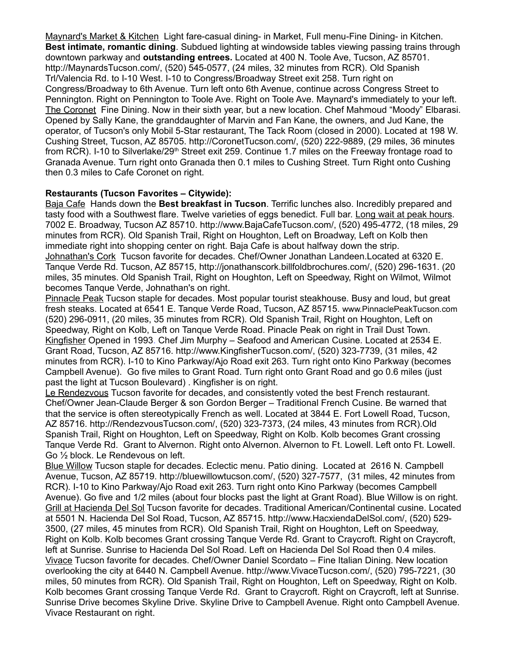Maynard's Market & Kitchen Light fare-casual dining- in Market, Full menu-Fine Dining- in Kitchen. **Best intimate, romantic dining**. Subdued lighting at windowside tables viewing passing trains through downtown parkway and **outstanding entrees.** Located at 400 N. Toole Ave, Tucson, AZ 85701. http://MaynardsTucson.com/, (520) 545-0577, (24 miles, 32 minutes from RCR). Old Spanish Trl/Valencia Rd. to I-10 West. I-10 to Congress/Broadway Street exit 258. Turn right on Congress/Broadway to 6th Avenue. Turn left onto 6th Avenue, continue across Congress Street to Pennington. Right on Pennington to Toole Ave. Right on Toole Ave. Maynard's immediately to your left. The Coronet Fine Dining. Now in their sixth year, but a new location. Chef Mahmoud "Moody" Elbarasi. Opened by Sally Kane, the granddaughter of Marvin and Fan Kane, the owners, and Jud Kane, the operator, of Tucson's only Mobil 5-Star restaurant, The Tack Room (closed in 2000). Located at 198 W. Cushing Street, Tucson, AZ 85705. http://CoronetTucson.com/, (520) 222-9889, (29 miles, 36 minutes from RCR). I-10 to Silverlake/29<sup>th</sup> Street exit 259. Continue 1.7 miles on the Freeway frontage road to Granada Avenue. Turn right onto Granada then 0.1 miles to Cushing Street. Turn Right onto Cushing then 0.3 miles to Cafe Coronet on right.

#### **Restaurants (Tucson Favorites – Citywide):**

Baja Cafe Hands down the **Best breakfast in Tucson**. Terrific lunches also. Incredibly prepared and tasty food with a Southwest flare. Twelve varieties of eggs benedict. Full bar. Long wait at peak hours. 7002 E. Broadway, Tucson AZ 85710. http://www.BajaCafeTucson.com/, (520) 495-4772, (18 miles, 29 minutes from RCR). Old Spanish Trail, Right on Houghton, Left on Broadway, Left on Kolb then immediate right into shopping center on right. Baja Cafe is about halfway down the strip. Johnathan's Cork Tucson favorite for decades. Chef/Owner Jonathan Landeen.Located at 6320 E. Tanque Verde Rd. Tucson, AZ 85715, http://jonathanscork.billfoldbrochures.com/, (520) 296-1631. (20 miles, 35 minutes. Old Spanish Trail, Right on Houghton, Left on Speedway, Right on Wilmot, Wilmot becomes Tanque Verde, Johnathan's on right.

Pinnacle Peak Tucson staple for decades. Most popular tourist steakhouse. Busy and loud, but great fresh steaks. Located at 6541 E. Tanque Verde Road, Tucson, AZ 85715. [www.PinnaclePeakTucson.com](http://www.PinnaclePeakTucson.com/) (520) 296-0911, (20 miles, 35 minutes from RCR). Old Spanish Trail, Right on Houghton, Left on Speedway, Right on Kolb, Left on Tanque Verde Road. Pinacle Peak on right in Trail Dust Town. Kingfisher Opened in 1993. Chef Jim Murphy – Seafood and American Cusine. Located at 2534 E. Grant Road, Tucson, AZ 85716. http://www.KingfisherTucson.com/, (520) 323-7739, (31 miles, 42 minutes from RCR). I-10 to Kino Parkway/Ajo Road exit 263. Turn right onto Kino Parkway (becomes Campbell Avenue). Go five miles to Grant Road. Turn right onto Grant Road and go 0.6 miles (just past the light at Tucson Boulevard) . Kingfisher is on right.

Le Rendezvous Tucson favorite for decades, and consistently voted the best French restaurant. Chef/Owner Jean-Claude Berger & son Gordon Berger – Traditional French Cusine. Be warned that that the service is often stereotypically French as well. Located at 3844 E. Fort Lowell Road, Tucson, AZ 85716. http://RendezvousTucson.com/, (520) 323-7373, (24 miles, 43 minutes from RCR).Old Spanish Trail, Right on Houghton, Left on Speedway, Right on Kolb. Kolb becomes Grant crossing Tanque Verde Rd. Grant to Alvernon. Right onto Alvernon. Alvernon to Ft. Lowell. Left onto Ft. Lowell. Go ½ block. Le Rendevous on left.

Blue Willow Tucson staple for decades. Eclectic menu. Patio dining. Located at 2616 N. Campbell Avenue, Tucson, AZ 85719. http://bluewillowtucson.com/, (520) 327-7577, (31 miles, 42 minutes from RCR). I-10 to Kino Parkway/Ajo Road exit 263. Turn right onto Kino Parkway (becomes Campbell Avenue). Go five and 1/2 miles (about four blocks past the light at Grant Road). Blue Willow is on right. Grill at Hacienda Del Sol Tucson favorite for decades. Traditional American/Continental cusine. Located at 5501 N. Hacienda Del Sol Road, Tucson, AZ 85715. http://www.HacxiendaDelSol.com/, (520) 529- 3500, (27 miles, 45 minutes from RCR). Old Spanish Trail, Right on Houghton, Left on Speedway, Right on Kolb. Kolb becomes Grant crossing Tanque Verde Rd. Grant to Craycroft. Right on Craycroft, left at Sunrise. Sunrise to Hacienda Del Sol Road. Left on Hacienda Del Sol Road then 0.4 miles. Vivace Tucson favorite for decades. Chef/Owner Daniel Scordato – Fine Italian Dining. New location overlooking the city at 6440 N. Campbell Avenue. http://www.VivaceTucson.com/, (520) 795-7221, (30 miles, 50 minutes from RCR). Old Spanish Trail, Right on Houghton, Left on Speedway, Right on Kolb. Kolb becomes Grant crossing Tanque Verde Rd. Grant to Craycroft. Right on Craycroft, left at Sunrise. Sunrise Drive becomes Skyline Drive. Skyline Drive to Campbell Avenue. Right onto Campbell Avenue. Vivace Restaurant on right.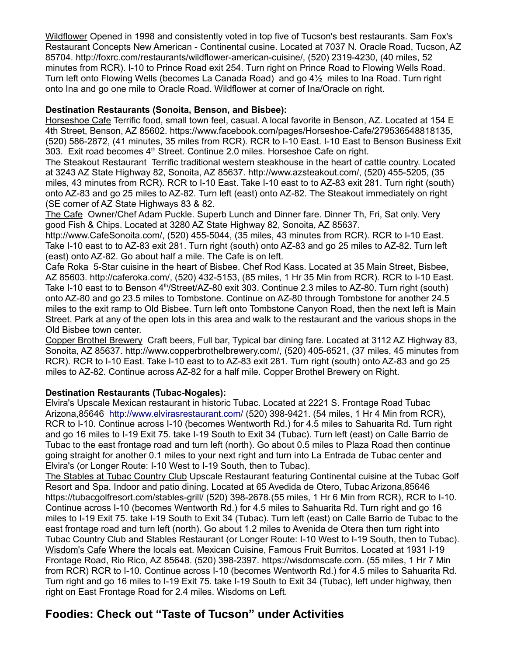Wildflower Opened in 1998 and consistently voted in top five of Tucson's best restaurants. Sam Fox's Restaurant Concepts New American - Continental cusine. Located at 7037 N. Oracle Road, Tucson, AZ 85704. http://foxrc.com/restaurants/wildflower-american-cuisine/, (520) 2319-4230, (40 miles, 52 minutes from RCR). I-10 to Prince Road exit 254. Turn right on Prince Road to Flowing Wells Road. Turn left onto Flowing Wells (becomes La Canada Road) and go 4½ miles to Ina Road. Turn right onto Ina and go one mile to Oracle Road. Wildflower at corner of Ina/Oracle on right.

#### **Destination Restaurants (Sonoita, Benson, and Bisbee):**

Horseshoe Cafe Terrific food, small town feel, casual. A local favorite in Benson, AZ. Located at 154 E 4th Street, Benson, AZ 85602. https://www.facebook.com/pages/Horseshoe-Cafe/279536548818135, (520) 586-2872, (41 minutes, 35 miles from RCR). RCR to I-10 East. I-10 East to Benson Business Exit 303. Exit road becomes  $4<sup>th</sup>$  Street. Continue 2.0 miles. Horseshoe Cafe on right.

The Steakout Restaurant Terrific traditional western steakhouse in the heart of cattle country. Located at 3243 AZ State Highway 82, Sonoita, AZ 85637. http://www.azsteakout.com/, (520) 455-5205, (35 miles, 43 minutes from RCR). RCR to I-10 East. Take I-10 east to to AZ-83 exit 281. Turn right (south) onto AZ-83 and go 25 miles to AZ-82. Turn left (east) onto AZ-82. The Steakout immediately on right (SE corner of AZ State Highways 83 & 82.

The Cafe Owner/Chef Adam Puckle. Superb Lunch and Dinner fare. Dinner Th, Fri, Sat only. Verv good Fish & Chips. Located at 3280 AZ State Highway 82, Sonoita, AZ 85637.

http://www.CafeSonoita.com/, (520) 455-5044, (35 miles, 43 minutes from RCR). RCR to I-10 East. Take I-10 east to to AZ-83 exit 281. Turn right (south) onto AZ-83 and go 25 miles to AZ-82. Turn left (east) onto AZ-82. Go about half a mile. The Cafe is on left.

Cafe Roka 5-Star cuisine in the heart of Bisbee. Chef Rod Kass. Located at 35 Main Street, Bisbee, AZ 85603. http://caferoka.com/, (520) 432-5153, (85 miles, 1 Hr 35 Min from RCR). RCR to I-10 East. Take I-10 east to to Benson 4<sup>th</sup>/Street/AZ-80 exit 303. Continue 2.3 miles to AZ-80. Turn right (south) onto AZ-80 and go 23.5 miles to Tombstone. Continue on AZ-80 through Tombstone for another 24.5 miles to the exit ramp to Old Bisbee. Turn left onto Tombstone Canyon Road, then the next left is Main Street. Park at any of the open lots in this area and walk to the restaurant and the various shops in the Old Bisbee town center.

Copper Brothel Brewery Craft beers, Full bar, Typical bar dining fare. Located at 3112 AZ Highway 83, Sonoita, AZ 85637. http://www.copperbrothelbrewery.com/, (520) 405-6521, (37 miles, 45 minutes from RCR). RCR to I-10 East. Take I-10 east to to AZ-83 exit 281. Turn right (south) onto AZ-83 and go 25 miles to AZ-82. Continue across AZ-82 for a half mile. Copper Brothel Brewery on Right.

## **Destination Restaurants (Tubac-Nogales):**

Elvira's Upscale Mexican restaurant in historic Tubac. Located at 2221 S. Frontage Road Tubac Arizona,85646 <http://www.elvirasrestaurant.com/>(520) 398-9421. (54 miles, 1 Hr 4 Min from RCR), RCR to I-10. Continue across I-10 (becomes Wentworth Rd.) for 4.5 miles to Sahuarita Rd. Turn right and go 16 miles to I-19 Exit 75. take I-19 South to Exit 34 (Tubac). Turn left (east) on Calle Barrio de Tubac to the east frontage road and turn left (north). Go about 0.5 miles to Plaza Road then continue going straight for another 0.1 miles to your next right and turn into La Entrada de Tubac center and Elvira's (or Longer Route: I-10 West to I-19 South, then to Tubac).

The Stables at Tubac Country Club Upscale Restaurant featuring Continental cuisine at the Tubac Golf Resort and Spa. Indoor and patio dining. Located at 65 Avedida de Otero, Tubac Arizona,85646 https://tubacgolfresort.com/stables-grill/ (520) 398-2678.(55 miles, 1 Hr 6 Min from RCR), RCR to I-10. Continue across I-10 (becomes Wentworth Rd.) for 4.5 miles to Sahuarita Rd. Turn right and go 16 miles to I-19 Exit 75. take I-19 South to Exit 34 (Tubac). Turn left (east) on Calle Barrio de Tubac to the east frontage road and turn left (north). Go about 1.2 miles to Avenida de Otera then turn right into Tubac Country Club and Stables Restaurant (or Longer Route: I-10 West to I-19 South, then to Tubac). Wisdom's Cafe Where the locals eat. Mexican Cuisine, Famous Fruit Burritos. Located at 1931 I-19 Frontage Road, Rio Rico, AZ 85648. (520) 398-2397. [https://wisdomscafe.com.](https://wisdomscafe.com/) (55 miles, 1 Hr 7 Min from RCR) RCR to I-10. Continue across I-10 (becomes Wentworth Rd.) for 4.5 miles to Sahuarita Rd. Turn right and go 16 miles to I-19 Exit 75. take I-19 South to Exit 34 (Tubac), left under highway, then right on East Frontage Road for 2.4 miles. Wisdoms on Left.

# **Foodies: Check out "Taste of Tucson" under Activities**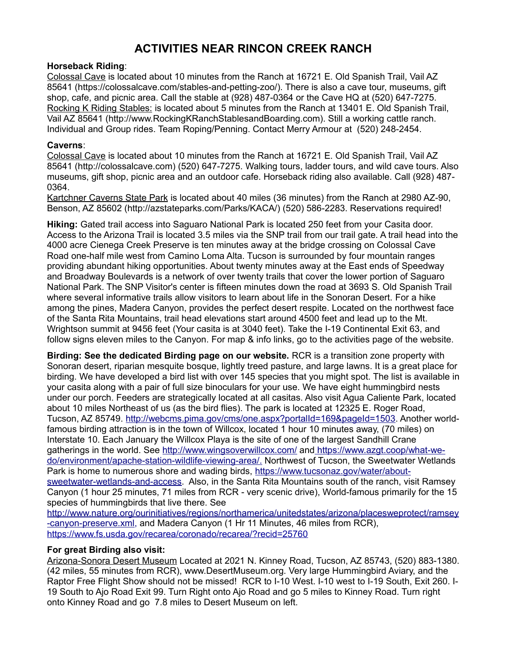# **ACTIVITIES NEAR RINCON CREEK RANCH**

# **Horseback Riding**:

Colossal Cave is located about 10 minutes from the Ranch at 16721 E. Old Spanish Trail, Vail AZ 85641 (https://colossalcave.com/stables-and-petting-zoo/). There is also a cave tour, museums, gift shop, cafe, and picnic area. Call the stable at (928) 487-0364 or the Cave HQ at (520) 647-7275. Rocking K Riding Stables: is located about 5 minutes from the Ranch at 13401 E. Old Spanish Trail, Vail AZ 85641 (http://www.RockingKRanchStablesandBoarding.com). Still a working cattle ranch. Individual and Group rides. Team Roping/Penning. Contact Merry Armour at (520) 248-2454.

# **Caverns**:

Colossal Cave is located about 10 minutes from the Ranch at 16721 E. Old Spanish Trail, Vail AZ 85641 (http://colossalcave.com) (520) 647-7275. Walking tours, ladder tours, and wild cave tours. Also museums, gift shop, picnic area and an outdoor cafe. Horseback riding also available. Call (928) 487- 0364.

Kartchner Caverns State Park is located about 40 miles (36 minutes) from the Ranch at 2980 AZ-90, Benson, AZ 85602 (http://azstateparks.com/Parks/KACA/) (520) 586-2283. Reservations required!

**Hiking:** Gated trail access into Saguaro National Park is located 250 feet from your Casita door. Access to the Arizona Trail is located 3.5 miles via the SNP trail from our trail gate. A trail head into the 4000 acre Cienega Creek Preserve is ten minutes away at the bridge crossing on Colossal Cave Road one-half mile west from Camino Loma Alta. Tucson is surrounded by four mountain ranges providing abundant hiking opportunities. About twenty minutes away at the East ends of Speedway and Broadway Boulevards is a network of over twenty trails that cover the lower portion of Saguaro National Park. The SNP Visitor's center is fifteen minutes down the road at 3693 S. Old Spanish Trail where several informative trails allow visitors to learn about life in the Sonoran Desert. For a hike among the pines, Madera Canyon, provides the perfect desert respite. Located on the northwest face of the Santa Rita Mountains, trail head elevations start around 4500 feet and lead up to the Mt. Wrightson summit at 9456 feet (Your casita is at 3040 feet). Take the I-19 Continental Exit 63, and follow signs eleven miles to the Canyon. For map & info links, go to the activities page of the website.

**Birding: See the dedicated Birding page on our website.** RCR is a transition zone property with Sonoran desert, riparian mesquite bosque, lightly treed pasture, and large lawns. It is a great place for birding. We have developed a bird list with over 145 species that you might spot. The list is available in your casita along with a pair of full size binoculars for your use. We have eight hummingbird nests under our porch. Feeders are strategically located at all casitas. Also visit Agua Caliente Park, located about 10 miles Northeast of us (as the bird flies). The park is located at 12325 E. Roger Road, Tucson, AZ 85749. [http://webcms.pima.gov/cms/one.aspx?portalId=169&pageId=1503.](http://webcms.pima.gov/cms/one.aspx?portalId=169&pageId=1503) Another worldfamous birding attraction is in the town of Willcox, located 1 hour 10 minutes away, (70 miles) on Interstate 10. Each January the Willcox Playa is the site of one of the largest Sandhill Crane gatherings in the world. See<http://www.wingsoverwillcox.com/>and [https://www.azgt.coop/what-we](https://www.azgt.coop/what-we-do/environment/apache-station-wildlife-viewing-area/)  [do/environment/apache-station-wildlife-viewing-area/.](https://www.azgt.coop/what-we-do/environment/apache-station-wildlife-viewing-area/) Northwest of Tucson, the Sweetwater Wetlands Park is home to numerous shore and wading birds, [https://www.tucsonaz.gov/water/about](https://www.tucsonaz.gov/water/about-sweetwater-wetlands-and-access)[sweetwater-wetlands-and-access.](https://www.tucsonaz.gov/water/about-sweetwater-wetlands-and-access) Also, in the Santa Rita Mountains south of the ranch, visit Ramsey Canyon (1 hour 25 minutes, 71 miles from RCR - very scenic drive), World-famous primarily for the 15 species of hummingbirds that live there. See

[http://www.nature.org/ourinitiatives/regions/northamerica/unitedstates/arizona/placesweprotect/ramsey](http://www.nature.org/ourinitiatives/regions/northamerica/unitedstates/arizona/placesweprotect/ramsey-canyon-preserve.xml) [-canyon-preserve.xml,](http://www.nature.org/ourinitiatives/regions/northamerica/unitedstates/arizona/placesweprotect/ramsey-canyon-preserve.xml) and Madera Canyon (1 Hr 11 Minutes, 46 miles from RCR), https://www.fs.usda.gov/recarea/coronado/recarea/?recid=25760

## **For great Birding also visit:**

Arizona-Sonora Desert Museum Located at 2021 N. Kinney Road, Tucson, AZ 85743, (520) 883-1380. (42 miles, 55 minutes from RCR), www.DesertMuseum.org. Very large Hummingbird Aviary, and the Raptor Free Flight Show should not be missed! RCR to I-10 West. I-10 west to I-19 South, Exit 260. I-19 South to Ajo Road Exit 99. Turn Right onto Ajo Road and go 5 miles to Kinney Road. Turn right onto Kinney Road and go 7.8 miles to Desert Museum on left.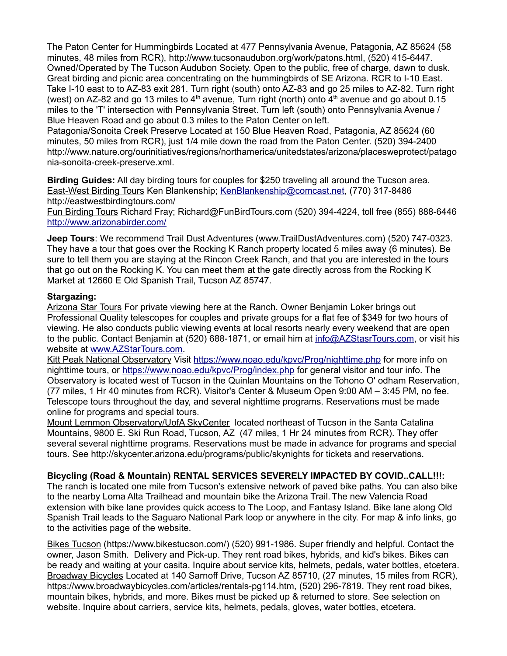The Paton Center for Hummingbirds Located at 477 Pennsylvania Avenue, Patagonia, AZ 85624 (58 minutes, 48 miles from RCR), http://www.tucsonaudubon.org/work/patons.html, (520) 415-6447. Owned/Operated by The Tucson Audubon Society. Open to the public, free of charge, dawn to dusk. Great birding and picnic area concentrating on the hummingbirds of SE Arizona. RCR to I-10 East. Take I-10 east to to AZ-83 exit 281. Turn right (south) onto AZ-83 and go 25 miles to AZ-82. Turn right (west) on AZ-82 and go 13 miles to 4<sup>th</sup> avenue, Turn right (north) onto 4<sup>th</sup> avenue and go about 0.15 miles to the 'T' intersection with Pennsylvania Street. Turn left (south) onto Pennsylvania Avenue / Blue Heaven Road and go about 0.3 miles to the Paton Center on left.

Patagonia/Sonoita Creek Preserve Located at 150 Blue Heaven Road, Patagonia, AZ 85624 (60 minutes, 50 miles from RCR), just 1/4 mile down the road from the Paton Center. (520) 394-2400 http://www.nature.org/ourinitiatives/regions/northamerica/unitedstates/arizona/placesweprotect/patago nia-sonoita-creek-preserve.xml.

**Birding Guides:** All day birding tours for couples for \$250 traveling all around the Tucson area. East-West Birding Tours Ken Blankenship; [KenBlankenship@comcast.net,](mailto:KenBlankenship@comcast.net) (770) 317-8486 http://eastwestbirdingtours.com/

Fun Birding Tours Richard Fray; Richard@FunBirdTours.com (520) 394-4224, toll free (855) 888-6446 <http://www.arizonabirder.com/>

**Jeep Tours**: We recommend Trail Dust Adventures (www.TrailDustAdventures.com) (520) 747-0323. They have a tour that goes over the Rocking K Ranch property located 5 miles away (6 minutes). Be sure to tell them you are staying at the Rincon Creek Ranch, and that you are interested in the tours that go out on the Rocking K. You can meet them at the gate directly across from the Rocking K Market at 12660 E Old Spanish Trail, Tucson AZ 85747.

#### **Stargazing:**

Arizona Star Tours For private viewing here at the Ranch. Owner Benjamin Loker brings out Professional Quality telescopes for couples and private groups for a flat fee of \$349 for two hours of viewing. He also conducts public viewing events at local resorts nearly every weekend that are open to the public. Contact Benjamin at (520) 688-1871, or email him at [info@AZStasrTours.com,](mailto:info@AZStasrTours.com) or visit his website at [www.AZStarTours.com.](http://www.AZStarTours.com/)

Kitt Peak National Observatory Visit<https://www.noao.edu/kpvc/Prog/nighttime.php>for more info on nighttime tours, or<https://www.noao.edu/kpvc/Prog/index.php>for general visitor and tour info. The Observatory is located west of Tucson in the Quinlan Mountains on the Tohono O' odham Reservation, (77 miles, 1 Hr 40 minutes from RCR). Visitor's Center & Museum Open 9:00 AM – 3:45 PM, no fee. Telescope tours throughout the day, and several nighttime programs. Reservations must be made online for programs and special tours.

Mount Lemmon Observatory/UofA SkyCenter located northeast of Tucson in the Santa Catalina Mountains, 9800 E. Ski Run Road, Tucson, AZ (47 miles, 1 Hr 24 minutes from RCR). They offer several several nighttime programs. Reservations must be made in advance for programs and special tours. See<http://skycenter.arizona.edu/programs/public/skynights>for tickets and reservations.

## **Bicycling (Road & Mountain) RENTAL SERVICES SEVERELY IMPACTED BY COVID..CALL!!!:**

The ranch is located one mile from Tucson's extensive network of paved bike paths. You can also bike to the nearby Loma Alta Trailhead and mountain bike the Arizona Trail. The new Valencia Road extension with bike lane provides quick access to The Loop, and Fantasy Island. Bike lane along Old Spanish Trail leads to the Saguaro National Park loop or anywhere in the city. For map & info links, go to the activities page of the website.

Bikes Tucson (https://www.bikestucson.com/) (520) 991-1986. Super friendly and helpful. Contact the owner, Jason Smith. Delivery and Pick-up. They rent road bikes, hybrids, and kid's bikes. Bikes can be ready and waiting at your casita. Inquire about service kits, helmets, pedals, water bottles, etcetera. Broadway Bicycles Located at 140 Sarnoff Drive, Tucson AZ 85710, (27 minutes, 15 miles from RCR), https://www.broadwaybicycles.com/articles/rentals-pg114.htm, (520) 296-7819. They rent road bikes, mountain bikes, hybrids, and more. Bikes must be picked up & returned to store. See selection on website. Inquire about carriers, service kits, helmets, pedals, gloves, water bottles, etcetera.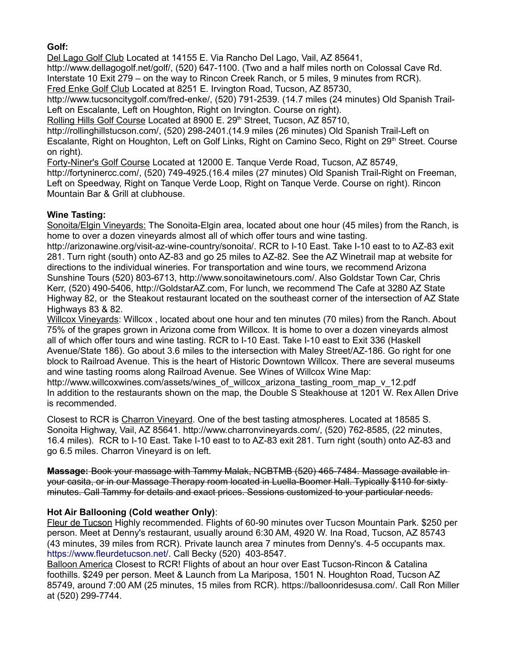# **Golf:**

Del Lago Golf Club Located at 14155 E. Via Rancho Del Lago, Vail, AZ 85641,

http://www.dellagogolf.net/golf/, (520) 647-1100. (Two and a half miles north on Colossal Cave Rd. Interstate 10 Exit 279 – on the way to Rincon Creek Ranch, or 5 miles, 9 minutes from RCR).

Fred Enke Golf Club Located at 8251 E. Irvington Road, Tucson, AZ 85730,

http://www.tucsoncitygolf.com/fred-enke/, (520) 791-2539. (14.7 miles (24 minutes) Old Spanish Trail-Left on Escalante, Left on Houghton, Right on Irvington. Course on right).

Rolling Hills Golf Course Located at 8900 E. 29<sup>th</sup> Street, Tucson, AZ 85710,

http://rollinghillstucson.com/, (520) 298-2401.(14.9 miles (26 minutes) Old Spanish Trail-Left on Escalante, Right on Houghton, Left on Golf Links, Right on Camino Seco, Right on 29<sup>th</sup> Street. Course on right).

Forty-Niner's Golf Course Located at 12000 E. Tanque Verde Road, Tucson, AZ 85749,

http://fortyninercc.com/, (520) 749-4925.(16.4 miles (27 minutes) Old Spanish Trail-Right on Freeman. Left on Speedway, Right on Tanque Verde Loop, Right on Tanque Verde. Course on right). Rincon Mountain Bar & Grill at clubhouse.

# **Wine Tasting:**

Sonoita/Elgin Vineyards: The Sonoita-Elgin area, located about one hour (45 miles) from the Ranch, is home to over a dozen vineyards almost all of which offer tours and wine tasting.

http://arizonawine.org/visit-az-wine-country/sonoita/. RCR to I-10 East. Take I-10 east to to AZ-83 exit 281. Turn right (south) onto AZ-83 and go 25 miles to AZ-82. See the AZ Winetrail map at website for directions to the individual wineries. For transportation and wine tours, we recommend Arizona Sunshine Tours (520) 803-6713, http://www.sonoitawinetours.com/. Also Goldstar Town Car, Chris Kerr, (520) 490-5406, [http://GoldstarAZ.com,](http://GoldstarAZ.com/) For lunch, we recommend The Cafe at 3280 AZ State Highway 82, or the Steakout restaurant located on the southeast corner of the intersection of AZ State Highways 83 & 82.

Willcox Vineyards: Willcox , located about one hour and ten minutes (70 miles) from the Ranch. About 75% of the grapes grown in Arizona come from Willcox. It is home to over a dozen vineyards almost all of which offer tours and wine tasting. RCR to I-10 East. Take I-10 east to Exit 336 (Haskell Avenue/State 186). Go about 3.6 miles to the intersection with Maley Street/AZ-186. Go right for one block to Railroad Avenue. This is the heart of Historic Downtown Willcox. There are several museums and wine tasting rooms along Railroad Avenue. See Wines of Willcox Wine Map:

[http://www.willcoxwines.com/assets/wines\\_of\\_willcox\\_arizona\\_tasting\\_room\\_map\\_v\\_12.pdf](http://www.willcoxwines.com/assets/wines_of_willcox_arizona_tasting_room_map_v_12.pdf) In addition to the restaurants shown on the map, the Double S Steakhouse at 1201 W. Rex Allen Drive is recommended.

Closest to RCR is Charron Vineyard. One of the best tasting atmospheres. Located at 18585 S. Sonoita Highway, Vail, AZ 85641. http://www.charronvineyards.com/, (520) 762-8585, (22 minutes, 16.4 miles). RCR to I-10 East. Take I-10 east to to AZ-83 exit 281. Turn right (south) onto AZ-83 and go 6.5 miles. Charron Vineyard is on left.

**Massage:** Book your massage with Tammy Malak, NCBTMB (520) 465-7484. Massage available in your casita, or in our Massage Therapy room located in Luella-Boomer Hall. Typically \$110 for sixty minutes. Call Tammy for details and exact prices. Sessions customized to your particular needs.

# **Hot Air Ballooning (Cold weather Only)**:

Fleur de Tucson Highly recommended. Flights of 60-90 minutes over Tucson Mountain Park. \$250 per person. Meet at Denny's restaurant, usually around 6:30 AM, 4920 W. Ina Road, Tucson, AZ 85743 (43 minutes, 39 miles from RCR). Private launch area 7 minutes from Denny's. 4-5 occupants max. [https://www.fleurdetucson.net/.](https://www.fleurdetucson.net/) Call Becky (520) 403-8547.

Balloon America Closest to RCR! Flights of about an hour over East Tucson-Rincon & Catalina foothills. \$249 per person. Meet & Launch from La Mariposa, 1501 N. Houghton Road, Tucson AZ 85749, around 7:00 AM (25 minutes, 15 miles from RCR). https://balloonridesusa.com/. Call Ron Miller at (520) 299-7744.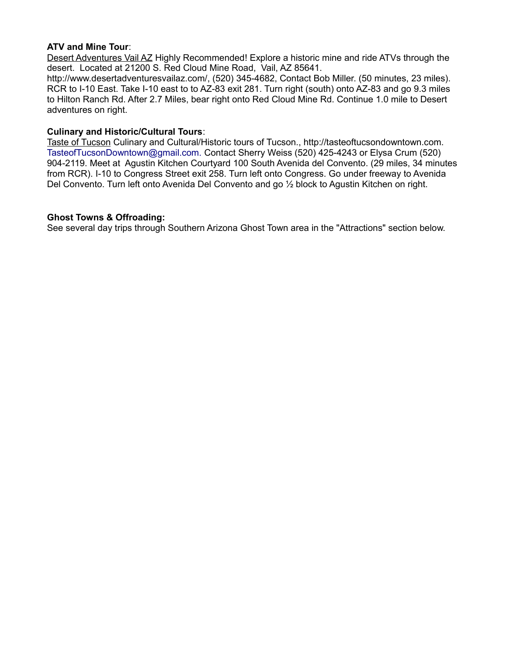#### **ATV and Mine Tour**:

Desert Adventures Vail AZ Highly Recommended! Explore a historic mine and ride ATVs through the desert. Located at 21200 S. Red Cloud Mine Road, Vail, AZ 85641.

http://www.desertadventuresvailaz.com/, (520) 345-4682, Contact Bob Miller. (50 minutes, 23 miles). RCR to I-10 East. Take I-10 east to to AZ-83 exit 281. Turn right (south) onto AZ-83 and go 9.3 miles to Hilton Ranch Rd. After 2.7 Miles, bear right onto Red Cloud Mine Rd. Continue 1.0 mile to Desert adventures on right.

#### **Culinary and Historic/Cultural Tours**:

Taste of Tucson Culinary and Cultural/Historic tours of Tucson., http://tasteoftucsondowntown.com. TasteofTucsonDowntown@gmail.com. Contact Sherry Weiss (520) 425-4243 or Elysa Crum (520) 904-2119. Meet at Agustin Kitchen Courtyard 100 South Avenida del Convento. (29 miles, 34 minutes from RCR). I-10 to Congress Street exit 258. Turn left onto Congress. Go under freeway to Avenida Del Convento. Turn left onto Avenida Del Convento and go ½ block to Agustin Kitchen on right.

#### **Ghost Towns & Offroading:**

See several day trips through Southern Arizona Ghost Town area in the "Attractions" section below.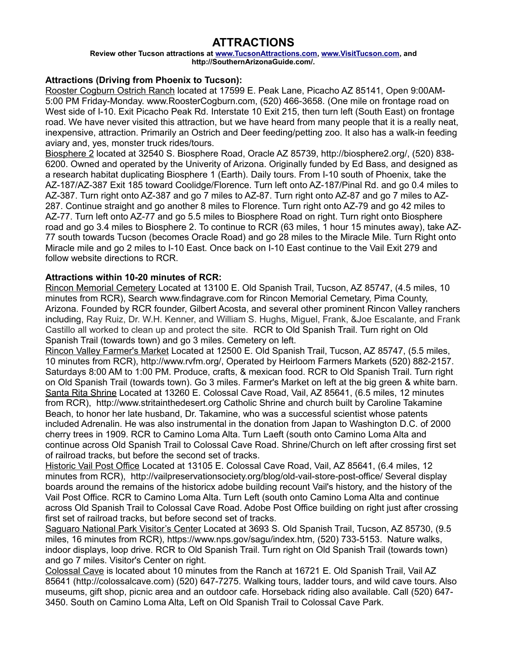# **ATTRACTIONS**

**Review other Tucson attractions at [www.TucsonAttractions.com,](http://www.TucsonAttractions.com/) [www.VisitTucson.com,](http://www.VisitTucson.com/) and http://SouthernArizonaGuide.com/.**

# **Attractions (Driving from Phoenix to Tucson):**

Rooster Cogburn Ostrich Ranch located at 17599 E. Peak Lane, Picacho AZ 85141, Open 9:00AM-5:00 PM Friday-Monday. www.RoosterCogburn.com, (520) 466-3658. (One mile on frontage road on West side of I-10. Exit Picacho Peak Rd. Interstate 10 Exit 215, then turn left (South East) on frontage road. We have never visited this attraction, but we have heard from many people that it is a really neat, inexpensive, attraction. Primarily an Ostrich and Deer feeding/petting zoo. It also has a walk-in feeding aviary and, yes, monster truck rides/tours.

 Biosphere 2 located at 32540 S. Biosphere Road, Oracle AZ 85739, http://biosphere2.org/, (520) 838- 6200. Owned and operated by the Univerity of Arizona. Originally funded by Ed Bass, and designed as a research habitat duplicating Biosphere 1 (Earth). Daily tours. From I-10 south of Phoenix, take the AZ-187/AZ-387 Exit 185 toward Coolidge/Florence. Turn left onto AZ-187/Pinal Rd. and go 0.4 miles to AZ-387. Turn right onto AZ-387 and go 7 miles to AZ-87. Turn right onto AZ-87 and go 7 miles to AZ-287. Continue straight and go another 8 miles to Florence. Turn right onto AZ-79 and go 42 miles to AZ-77. Turn left onto AZ-77 and go 5.5 miles to Biosphere Road on right. Turn right onto Biosphere road and go 3.4 miles to Biosphere 2. To continue to RCR (63 miles, 1 hour 15 minutes away), take AZ-77 south towards Tucson (becomes Oracle Road) and go 28 miles to the Miracle Mile. Turn Right onto Miracle mile and go 2 miles to I-10 East. Once back on I-10 East continue to the Vail Exit 279 and follow website directions to RCR.

# **Attractions within 10-20 minutes of RCR:**

Rincon Memorial Cemetery Located at 13100 E. Old Spanish Trail, Tucson, AZ 85747, (4.5 miles, 10 minutes from RCR), Search www.findagrave.com for Rincon Memorial Cemetary, Pima County, Arizona. Founded by RCR founder, Gilbert Acosta, and several other prominent Rincon Valley ranchers including, Ray Ruiz, Dr. W.H. Kenner, and William S. Hughs, Miguel, Frank, &Joe Escalante, and Frank Castillo all worked to clean up and protect the site. RCR to Old Spanish Trail. Turn right on Old Spanish Trail (towards town) and go 3 miles. Cemetery on left.

Rincon Valley Farmer's Market Located at 12500 E. Old Spanish Trail, Tucson, AZ 85747, (5.5 miles, 10 minutes from RCR), http://www.rvfm.org/, Operated by Heirloom Farmers Markets (520) 882-2157. Saturdays 8:00 AM to 1:00 PM. Produce, crafts, & mexican food. RCR to Old Spanish Trail. Turn right on Old Spanish Trail (towards town). Go 3 miles. Farmer's Market on left at the big green & white barn. Santa Rita Shrine Located at 13260 E. Colossal Cave Road, Vail, AZ 85641, (6.5 miles, 12 minutes from RCR), http://www.stritainthedesert.org Catholic Shrine and church built by Caroline Takamine Beach, to honor her late husband, Dr. Takamine, who was a successful scientist whose patents included Adrenalin. He was also instrumental in the donation from Japan to Washington D.C. of 2000 cherry trees in 1909. RCR to Camino Loma Alta. Turn Laeft (south onto Camino Loma Alta and continue across Old Spanish Trail to Colossal Cave Road. Shrine/Church on left after crossing first set of railroad tracks, but before the second set of tracks.

Historic Vail Post Office Located at 13105 E. Colossal Cave Road, Vail, AZ 85641, (6.4 miles, 12 minutes from RCR), http://vailpreservationsociety.org/blog/old-vail-store-post-office/ Several display boards around the remains of the historicx adobe building recount Vail's history, and the history of the Vail Post Office. RCR to Camino Loma Alta. Turn Left (south onto Camino Loma Alta and continue across Old Spanish Trail to Colossal Cave Road. Adobe Post Office building on right just after crossing first set of railroad tracks, but before second set of tracks.

Saguaro National Park Visitor's Center Located at 3693 S. Old Spanish Trail, Tucson, AZ 85730, (9.5 miles, 16 minutes from RCR), https://www.nps.gov/sagu/index.htm, (520) 733-5153. Nature walks, indoor displays, loop drive. RCR to Old Spanish Trail. Turn right on Old Spanish Trail (towards town) and go 7 miles. Visitor's Center on right.

Colossal Cave is located about 10 minutes from the Ranch at 16721 E. Old Spanish Trail, Vail AZ 85641 (http://colossalcave.com) (520) 647-7275. Walking tours, ladder tours, and wild cave tours. Also museums, gift shop, picnic area and an outdoor cafe. Horseback riding also available. Call (520) 647- 3450. South on Camino Loma Alta, Left on Old Spanish Trail to Colossal Cave Park.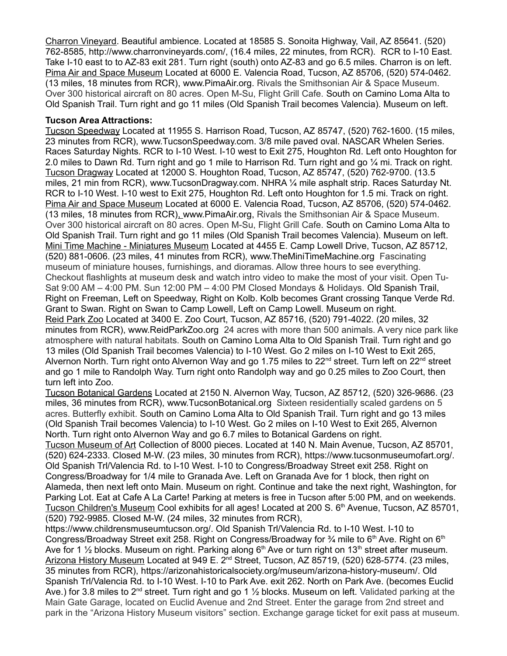Charron Vineyard. Beautiful ambience. Located at 18585 S. Sonoita Highway, Vail, AZ 85641. (520) 762-8585, http://www.charronvineyards.com/, (16.4 miles, 22 minutes, from RCR). RCR to I-10 East. Take I-10 east to to AZ-83 exit 281. Turn right (south) onto AZ-83 and go 6.5 miles. Charron is on left. Pima Air and Space Museum Located at 6000 E. Valencia Road, Tucson, AZ 85706, (520) 574-0462. (13 miles, 18 minutes from RCR), www.PimaAir.org. Rivals the Smithsonian Air & Space Museum. Over 300 historical aircraft on 80 acres. Open M-Su, Flight Grill Cafe. South on Camino Loma Alta to Old Spanish Trail. Turn right and go 11 miles (Old Spanish Trail becomes Valencia). Museum on left.

## **Tucson Area Attractions:**

Tucson Speedway Located at 11955 S. Harrison Road, Tucson, AZ 85747, (520) 762-1600. (15 miles, 23 minutes from RCR), [www.TucsonSpeedway.com.](http://www.TucsonSpeedway.com/) 3/8 mile paved oval. NASCAR Whelen Series. Races Saturday Nights. RCR to I-10 West. I-10 west to Exit 275, Houghton Rd. Left onto Houghton for 2.0 miles to Dawn Rd. Turn right and go 1 mile to Harrison Rd. Turn right and go ¼ mi. Track on right. Tucson Dragway Located at 12000 S. Houghton Road, Tucson, AZ 85747, (520) 762-9700. (13.5 miles, 21 min from RCR), [www.TucsonDragway.com.](http://www.TucsonSpeedway.com/) NHRA ¼ mile asphalt strip. Races Saturday Nt. RCR to I-10 West. I-10 west to Exit 275, Houghton Rd. Left onto Houghton for 1.5 mi. Track on right. Pima Air and Space Museum Located at 6000 E. Valencia Road, Tucson, AZ 85706, (520) 574-0462. (13 miles, 18 minutes from RCR), www.PimaAir.org, Rivals the Smithsonian Air & Space Museum. Over 300 historical aircraft on 80 acres. Open M-Su, Flight Grill Cafe. South on Camino Loma Alta to Old Spanish Trail. Turn right and go 11 miles (Old Spanish Trail becomes Valencia). Museum on left. Mini Time Machine - Miniatures Museum Located at 4455 E. Camp Lowell Drive, Tucson, AZ 85712, (520) 881-0606. (23 miles, 41 minutes from RCR), www.TheMiniTimeMachine.org Fascinating museum of miniature houses, furnishings, and dioramas. Allow three hours to see everything. Checkout flashlights at museum desk and watch intro video to make the most of your visit. Open Tu-Sat 9:00 AM – 4:00 PM. Sun 12:00 PM – 4:00 PM Closed Mondays & Holidays. Old Spanish Trail, Right on Freeman, Left on Speedway, Right on Kolb. Kolb becomes Grant crossing Tanque Verde Rd. Grant to Swan. Right on Swan to Camp Lowell, Left on Camp Lowell. Museum on right. Reid Park Zoo Located at 3400 E. Zoo Court, Tucson, AZ 85716, (520) 791-4022. (20 miles, 32 minutes from RCR), www.ReidParkZoo.org 24 acres with more than 500 animals. A very nice park like atmosphere with natural habitats. South on Camino Loma Alta to Old Spanish Trail. Turn right and go 13 miles (Old Spanish Trail becomes Valencia) to I-10 West. Go 2 miles on I-10 West to Exit 265, Alvernon North. Turn right onto Alvernon Way and go 1.75 miles to 22<sup>nd</sup> street. Turn left on 22<sup>nd</sup> street and go 1 mile to Randolph Way. Turn right onto Randolph way and go 0.25 miles to Zoo Court, then turn left into Zoo.

Tucson Botanical Gardens Located at 2150 N. Alvernon Way, Tucson, AZ 85712, (520) 326-9686. (23 miles, 36 minutes from RCR), www.TucsonBotanical.org Sixteen residentially scaled gardens on 5 acres. Butterfly exhibit. South on Camino Loma Alta to Old Spanish Trail. Turn right and go 13 miles (Old Spanish Trail becomes Valencia) to I-10 West. Go 2 miles on I-10 West to Exit 265, Alvernon North. Turn right onto Alvernon Way and go 6.7 miles to Botanical Gardens on right.

Tucson Museum of Art Collection of 8000 pieces. Located at 140 N. Main Avenue, Tucson, AZ 85701, (520) 624-2333. Closed M-W. (23 miles, 30 minutes from RCR), https://www.tucsonmuseumofart.org/. Old Spanish Trl/Valencia Rd. to I-10 West. I-10 to Congress/Broadway Street exit 258. Right on Congress/Broadway for 1/4 mile to Granada Ave. Left on Granada Ave for 1 block, then right on Alameda, then next left onto Main. Museum on right. Continue and take the next right, Washington, for Parking Lot. Eat at Cafe A La Carte! Parking at meters is free in Tucson after 5:00 PM, and on weekends. Tucson Children's Museum Cool exhibits for all ages! Located at 200 S. 6<sup>th</sup> Avenue, Tucson, AZ 85701, (520) 792-9985. Closed M-W. (24 miles, 32 minutes from RCR),

https://www.childrensmuseumtucson.org/. Old Spanish Trl/Valencia Rd. to I-10 West. I-10 to Congress/Broadway Street exit 258. Right on Congress/Broadway for  $\frac{3}{4}$  mile to 6<sup>th</sup> Ave. Right on 6<sup>th</sup> Ave for 1  $\frac{1}{2}$  blocks. Museum on right. Parking along 6<sup>th</sup> Ave or turn right on 13<sup>th</sup> street after museum. Arizona History Museum Located at 949 E. 2<sup>nd</sup> Street, Tucson, AZ 85719, (520) 628-5774. (23 miles, 35 minutes from RCR), [https://arizonahistoricalsociety.org/museum/arizona-history-museum/.](https://arizonahistoricalsociety.org/museum/arizona-history-museum/) Old Spanish Trl/Valencia Rd. to I-10 West. I-10 to Park Ave. exit 262. North on Park Ave. (becomes Euclid Ave.) for 3.8 miles to 2<sup>nd</sup> street. Turn right and go 1 1/<sub>2</sub> blocks. Museum on left. Validated parking at the Main Gate Garage, located on Euclid Avenue and 2nd Street. Enter the garage from 2nd street and park in the "Arizona History Museum visitors" section. Exchange garage ticket for exit pass at museum.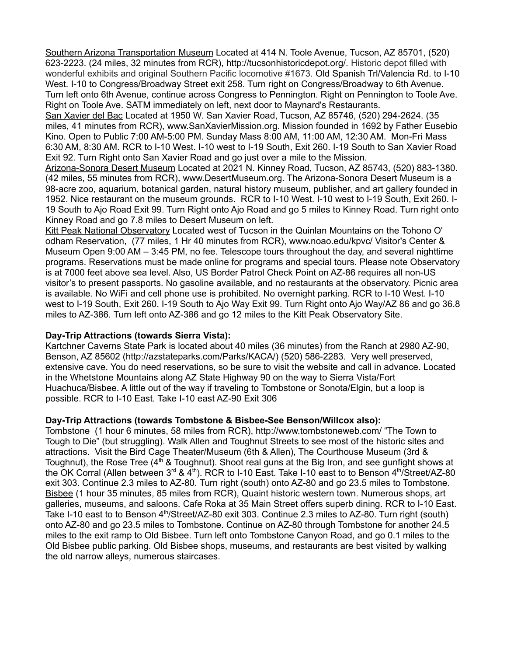Southern Arizona Transportation Museum Located at 414 N. Toole Avenue, Tucson, AZ 85701, (520) 623-2223. (24 miles, 32 minutes from RCR), http://tucsonhistoricdepot.org/. Historic depot filled with wonderful exhibits and original Southern Pacific locomotive #1673. Old Spanish Trl/Valencia Rd. to I-10 West. I-10 to Congress/Broadway Street exit 258. Turn right on Congress/Broadway to 6th Avenue. Turn left onto 6th Avenue, continue across Congress to Pennington. Right on Pennington to Toole Ave. Right on Toole Ave. SATM immediately on left, next door to Maynard's Restaurants.

San Xavier del Bac Located at 1950 W. San Xavier Road, Tucson, AZ 85746, (520) 294-2624. (35 miles, 41 minutes from RCR), www.SanXavierMission.org. Mission founded in 1692 by Father Eusebio Kino. Open to Public 7:00 AM-5:00 PM. Sunday Mass 8:00 AM, 11:00 AM, 12:30 AM. Mon-Fri Mass 6:30 AM, 8:30 AM. RCR to I-10 West. I-10 west to I-19 South, Exit 260. I-19 South to San Xavier Road Exit 92. Turn Right onto San Xavier Road and go just over a mile to the Mission.

Arizona-Sonora Desert Museum Located at 2021 N. Kinney Road, Tucson, AZ 85743, (520) 883-1380. (42 miles, 55 minutes from RCR), www.DesertMuseum.org. The Arizona-Sonora Desert Museum is a 98-acre zoo, aquarium, botanical garden, natural history museum, publisher, and art gallery founded in 1952. Nice restaurant on the museum grounds. RCR to I-10 West. I-10 west to I-19 South, Exit 260. I-19 South to Ajo Road Exit 99. Turn Right onto Ajo Road and go 5 miles to Kinney Road. Turn right onto Kinney Road and go 7.8 miles to Desert Museum on left.

Kitt Peak National Observatory Located west of Tucson in the Quinlan Mountains on the Tohono O' odham Reservation, (77 miles, 1 Hr 40 minutes from RCR), www.noao.edu/kpvc/ Visitor's Center & Museum Open 9:00 AM – 3:45 PM, no fee. Telescope tours throughout the day, and several nighttime programs. Reservations must be made online for programs and special tours. Please note Observatory is at 7000 feet above sea level. Also, US Border Patrol Check Point on AZ-86 requires all non-US visitor's to present passports. No gasoline available, and no restaurants at the observatory. Picnic area is available. No WiFi and cell phone use is prohibited. No overnight parking. RCR to I-10 West. I-10 west to I-19 South, Exit 260. I-19 South to Ajo Way Exit 99. Turn Right onto Ajo Way/AZ 86 and go 36.8 miles to AZ-386. Turn left onto AZ-386 and go 12 miles to the Kitt Peak Observatory Site.

## **Day-Trip Attractions (towards Sierra Vista):**

Kartchner Caverns State Park is located about 40 miles (36 minutes) from the Ranch at 2980 AZ-90, Benson, AZ 85602 (http://azstateparks.com/Parks/KACA/) (520) 586-2283. Very well preserved, extensive cave. You do need reservations, so be sure to visit the website and call in advance. Located in the Whetstone Mountains along AZ State Highway 90 on the way to Sierra Vista/Fort Huachuca/Bisbee. A little out of the way if traveling to Tombstone or Sonota/Elgin, but a loop is possible. RCR to I-10 East. Take I-10 east AZ-90 Exit 306

## **Day-Trip Attractions (towards Tombstone & Bisbee-See Benson/Willcox also):**

Tombstone (1 hour 6 minutes, 58 miles from RCR), http://www.tombstoneweb.com/ "The Town to Tough to Die" (but struggling). Walk Allen and Toughnut Streets to see most of the historic sites and attractions. Visit the Bird Cage Theater/Museum (6th & Allen), The Courthouse Museum (3rd & Toughnut), the Rose Tree (4<sup>th</sup> & Toughnut). Shoot real guns at the Big Iron, and see gunfight shows at the OK Corral (Allen between  $3<sup>rd</sup>$  & 4<sup>th</sup>). RCR to I-10 East. Take I-10 east to to Benson 4<sup>th</sup>/Street/AZ-80 exit 303. Continue 2.3 miles to AZ-80. Turn right (south) onto AZ-80 and go 23.5 miles to Tombstone. Bisbee (1 hour 35 minutes, 85 miles from RCR), Quaint historic western town. Numerous shops, art galleries, museums, and saloons. Cafe Roka at 35 Main Street offers superb dining. RCR to I-10 East. Take I-10 east to to Benson 4<sup>th</sup>/Street/AZ-80 exit 303. Continue 2.3 miles to AZ-80. Turn right (south) onto AZ-80 and go 23.5 miles to Tombstone. Continue on AZ-80 through Tombstone for another 24.5 miles to the exit ramp to Old Bisbee. Turn left onto Tombstone Canyon Road, and go 0.1 miles to the Old Bisbee public parking. Old Bisbee shops, museums, and restaurants are best visited by walking the old narrow alleys, numerous staircases.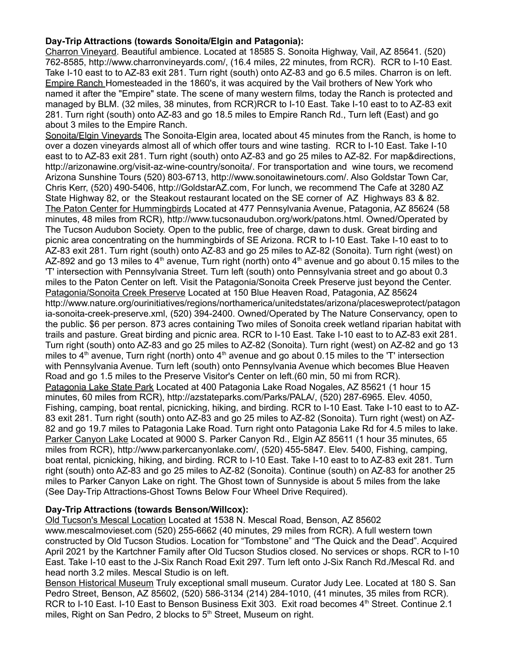# **Day-Trip Attractions (towards Sonoita/Elgin and Patagonia):**

Charron Vineyard. Beautiful ambience. Located at 18585 S. Sonoita Highway, Vail, AZ 85641. (520) 762-8585, http://www.charronvineyards.com/, (16.4 miles, 22 minutes, from RCR). RCR to I-10 East. Take I-10 east to to AZ-83 exit 281. Turn right (south) onto AZ-83 and go 6.5 miles. Charron is on left. Empire Ranch Homesteaded in the 1860's, it was acquired by the Vail brothers of New York who named it after the "Empire" state. The scene of many western films, today the Ranch is protected and managed by BLM. (32 miles, 38 minutes, from RCR)RCR to I-10 East. Take I-10 east to to AZ-83 exit 281. Turn right (south) onto AZ-83 and go 18.5 miles to Empire Ranch Rd., Turn left (East) and go about 3 miles to the Empire Ranch.

Sonoita/Elgin Vineyards The Sonoita-Elgin area, located about 45 minutes from the Ranch, is home to over a dozen vineyards almost all of which offer tours and wine tasting. RCR to I-10 East. Take I-10 east to to AZ-83 exit 281. Turn right (south) onto AZ-83 and go 25 miles to AZ-82. For map&directions, http://arizonawine.org/visit-az-wine-country/sonoita/. For transportation and wine tours, we recomend Arizona Sunshine Tours (520) 803-6713, http://www.sonoitawinetours.com/. Also Goldstar Town Car, Chris Kerr, (520) 490-5406, [http://GoldstarAZ.com,](http://GoldstarAZ.com/) For lunch, we recommend The Cafe at 3280 AZ State Highway 82, or the Steakout restaurant located on the SE corner of AZ Highways 83 & 82. The Paton Center for Hummingbirds Located at 477 Pennsylvania Avenue, Patagonia, AZ 85624 (58 minutes, 48 miles from RCR), http://www.tucsonaudubon.org/work/patons.html. Owned/Operated by The Tucson Audubon Society. Open to the public, free of charge, dawn to dusk. Great birding and picnic area concentrating on the hummingbirds of SE Arizona. RCR to I-10 East. Take I-10 east to to AZ-83 exit 281. Turn right (south) onto AZ-83 and go 25 miles to AZ-82 (Sonoita). Turn right (west) on AZ-892 and go 13 miles to  $4<sup>th</sup>$  avenue, Turn right (north) onto  $4<sup>th</sup>$  avenue and go about 0.15 miles to the 'T' intersection with Pennsylvania Street. Turn left (south) onto Pennsylvania street and go about 0.3 miles to the Paton Center on left. Visit the Patagonia/Sonoita Creek Preserve just beyond the Center. Patagonia/Sonoita Creek Preserve Located at 150 Blue Heaven Road, Patagonia, AZ 85624 http://www.nature.org/ourinitiatives/regions/northamerica/unitedstates/arizona/placesweprotect/patagon ia-sonoita-creek-preserve.xml, (520) 394-2400. Owned/Operated by The Nature Conservancy, open to the public. \$6 per person. 873 acres containing Two miles of Sonoita creek wetland riparian habitat with trails and pasture. Great birding and picnic area. RCR to I-10 East. Take I-10 east to to AZ-83 exit 281. Turn right (south) onto AZ-83 and go 25 miles to AZ-82 (Sonoita). Turn right (west) on AZ-82 and go 13 miles to  $4<sup>th</sup>$  avenue, Turn right (north) onto  $4<sup>th</sup>$  avenue and go about 0.15 miles to the 'T' intersection with Pennsylvania Avenue. Turn left (south) onto Pennsylvania Avenue which becomes Blue Heaven Road and go 1.5 miles to the Preserve Visitor's Center on left.(60 min, 50 mi from RCR). Patagonia Lake State Park Located at 400 Patagonia Lake Road Nogales, AZ 85621 (1 hour 15 minutes, 60 miles from RCR), http://azstateparks.com/Parks/PALA/, (520) 287-6965. Elev. 4050, Fishing, camping, boat rental, picnicking, hiking, and birding. RCR to I-10 East. Take I-10 east to to AZ-83 exit 281. Turn right (south) onto AZ-83 and go 25 miles to AZ-82 (Sonoita). Turn right (west) on AZ-82 and go 19.7 miles to Patagonia Lake Road. Turn right onto Patagonia Lake Rd for 4.5 miles to lake. Parker Canyon Lake Located at 9000 S. Parker Canyon Rd., Elgin AZ 85611 (1 hour 35 minutes, 65 miles from RCR), http://www.parkercanyonlake.com/, (520) 455-5847. Elev. 5400, Fishing, camping, boat rental, picnicking, hiking, and birding. RCR to I-10 East. Take I-10 east to to AZ-83 exit 281. Turn right (south) onto AZ-83 and go 25 miles to AZ-82 (Sonoita). Continue (south) on AZ-83 for another 25 miles to Parker Canyon Lake on right. The Ghost town of Sunnyside is about 5 miles from the lake (See Day-Trip Attractions-Ghost Towns Below Four Wheel Drive Required).

## **Day-Trip Attractions (towards Benson/Willcox):**

Old Tucson's Mescal Location Located at 1538 N. Mescal Road, Benson, AZ 85602 www.mescalmovieset.com (520) 255-6662 (40 minutes, 29 miles from RCR). A full western town constructed by Old Tucson Studios. Location for "Tombstone" and "The Quick and the Dead". Acquired April 2021 by the Kartchner Family after Old Tucson Studios closed. No services or shops. RCR to I-10 East. Take I-10 east to the J-Six Ranch Road Exit 297. Turn left onto J-Six Ranch Rd./Mescal Rd. and head north 3.2 miles. Mescal Studio is on left.

Benson Historical Museum Truly exceptional small museum. Curator Judy Lee. Located at 180 S. San Pedro Street, Benson, AZ 85602, (520) 586-3134 (214) 284-1010, (41 minutes, 35 miles from RCR). RCR to I-10 East. I-10 East to Benson Business Exit 303. Exit road becomes 4<sup>th</sup> Street. Continue 2.1 miles, Right on San Pedro, 2 blocks to  $5<sup>th</sup>$  Street, Museum on right.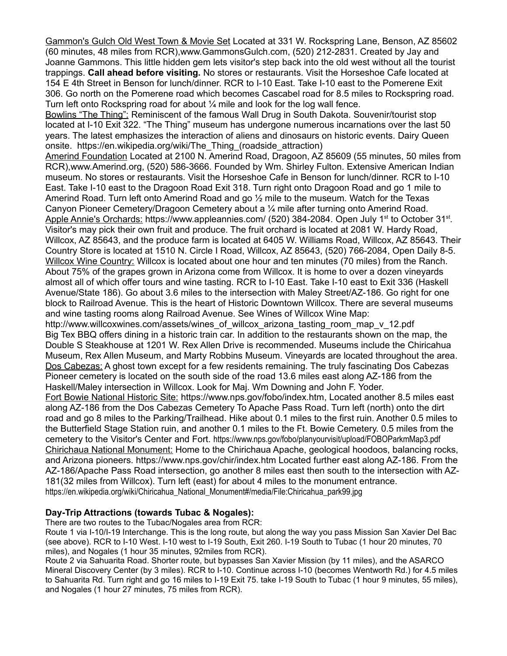Gammon's Gulch Old West Town & Movie Set Located at 331 W. Rockspring Lane, Benson, AZ 85602 (60 minutes, 48 miles from RCR),www.GammonsGulch.com, (520) 212-2831. Created by Jay and Joanne Gammons. This little hidden gem lets visitor's step back into the old west without all the tourist trappings. **Call ahead before visiting.** No stores or restaurants. Visit the Horseshoe Cafe located at 154 E 4th Street in Benson for lunch/dinner. RCR to I-10 East. Take I-10 east to the Pomerene Exit 306. Go north on the Pomerene road which becomes Cascabel road for 8.5 miles to Rockspring road. Turn left onto Rockspring road for about ¼ mile and look for the log wall fence.

Bowlins "The Thing": Reminiscent of the famous Wall Drug in South Dakota. Souvenir/tourist stop located at I-10 Exit 322. "The Thing" museum has undergone numerous incarnations over the last 50 years. The latest emphasizes the interaction of aliens and dinosaurs on historic events. Dairy Queen onsite. https://en.wikipedia.org/wiki/The\_Thing\_(roadside\_attraction)

Amerind Foundation Located at 2100 N. Amerind Road, Dragoon, AZ 85609 (55 minutes, 50 miles from RCR),www.Amerind.org, (520) 586-3666. Founded by Wm. Shirley Fulton. Extensive American Indian museum. No stores or restaurants. Visit the Horseshoe Cafe in Benson for lunch/dinner. RCR to I-10 East. Take I-10 east to the Dragoon Road Exit 318. Turn right onto Dragoon Road and go 1 mile to Amerind Road. Turn left onto Amerind Road and go  $\frac{1}{2}$  mile to the museum. Watch for the Texas Canyon Pioneer Cemetery/Dragoon Cemetery about a ¼ mile after turning onto Amerind Road. Apple Annie's Orchards: <https://www.appleannies.com/>(520) 384-2084. Open July 1<sup>st</sup> to October 31<sup>st</sup>. Visitor's may pick their own fruit and produce. The fruit orchard is located at 2081 W. Hardy Road, Willcox, AZ 85643, and the produce farm is located at 6405 W. Williams Road, Willcox, AZ 85643. Their Country Store is located at 1510 N. Circle I Road, Willcox, AZ 85643, (520) 766-2084, Open Daily 8-5. Willcox Wine Country: Willcox is located about one hour and ten minutes (70 miles) from the Ranch. About 75% of the grapes grown in Arizona come from Willcox. It is home to over a dozen vineyards almost all of which offer tours and wine tasting. RCR to I-10 East. Take I-10 east to Exit 336 (Haskell Avenue/State 186). Go about 3.6 miles to the intersection with Maley Street/AZ-186. Go right for one block to Railroad Avenue. This is the heart of Historic Downtown Willcox. There are several museums and wine tasting rooms along Railroad Avenue. See Wines of Willcox Wine Map:

[http://www.willcoxwines.com/assets/wines\\_of\\_willcox\\_arizona\\_tasting\\_room\\_map\\_v\\_12.pdf](http://www.willcoxwines.com/assets/wines_of_willcox_arizona_tasting_room_map_v_12.pdf) Big Tex BBQ offers dining in a historic train car. In addition to the restaurants shown on the map, the Double S Steakhouse at 1201 W. Rex Allen Drive is recommended. Museums include the Chiricahua Museum, Rex Allen Museum, and Marty Robbins Museum. Vineyards are located throughout the area. Dos Cabezas: A ghost town except for a few residents remaining. The truly fascinating Dos Cabezas Pioneer cemetery is located on the south side of the road 13.6 miles east along AZ-186 from the Haskell/Maley intersection in Willcox. Look for Maj. Wm Downing and John F. Yoder.

Fort Bowie National Historic Site: [https://www.nps.gov/fobo/index.htm,](https://www.nps.gov/fobo/index.htm) Located another 8.5 miles east along AZ-186 from the Dos Cabezas Cemetery To Apache Pass Road. Turn left (north) onto the dirt road and go 8 miles to the Parking/Trailhead. Hike about 0.1 miles to the first ruin. Another 0.5 miles to the Butterfield Stage Station ruin, and another 0.1 miles to the Ft. Bowie Cemetery. 0.5 miles from the cemetery to the Visitor's Center and Fort. https://www.nps.gov/fobo/planyourvisit/upload/FOBOParkmMap3.pdf Chirichaua National Monument: Home to the Chirichaua Apache, geological hoodoos, balancing rocks, and Arizona pioneers.<https://www.nps.gov/chir/index.htm>Located further east along AZ-186. From the AZ-186/Apache Pass Road intersection, go another 8 miles east then south to the intersection with AZ-181(32 miles from Willcox). Turn left (east) for about 4 miles to the monument entrance. https://en.wikipedia.org/wiki/Chiricahua\_National\_Monument#/media/File:Chiricahua\_park99.jpg

## **Day-Trip Attractions (towards Tubac & Nogales):**

There are two routes to the Tubac/Nogales area from RCR:

Route 1 via I-10/I-19 Interchange. This is the long route, but along the way you pass Mission San Xavier Del Bac (see above). RCR to I-10 West. I-10 west to I-19 South, Exit 260. I-19 South to Tubac (1 hour 20 minutes, 70 miles), and Nogales (1 hour 35 minutes, 92miles from RCR).

Route 2 via Sahuarita Road. Shorter route, but bypasses San Xavier Mission (by 11 miles), and the ASARCO Mineral Discovery Center (by 3 miles). RCR to I-10. Continue across I-10 (becomes Wentworth Rd.) for 4.5 miles to Sahuarita Rd. Turn right and go 16 miles to I-19 Exit 75. take I-19 South to Tubac (1 hour 9 minutes, 55 miles), and Nogales (1 hour 27 minutes, 75 miles from RCR).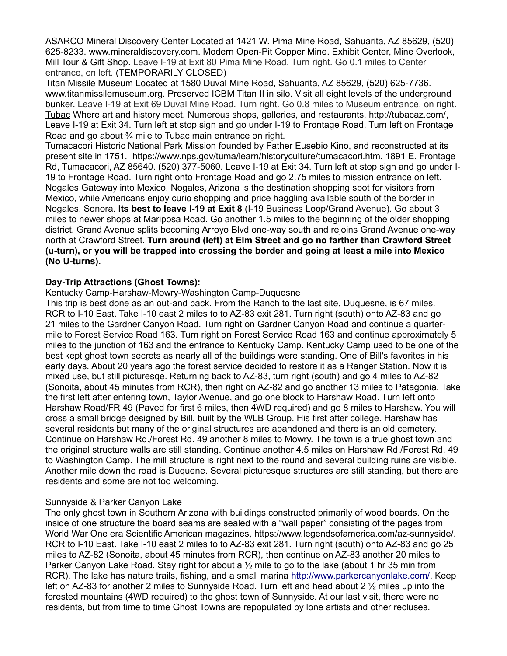ASARCO Mineral Discovery Center Located at 1421 W. Pima Mine Road, Sahuarita, AZ 85629, (520) 625-8233. www.mineraldiscovery.com. Modern Open-Pit Copper Mine. Exhibit Center, Mine Overlook, Mill Tour & Gift Shop. Leave I-19 at Exit 80 Pima Mine Road. Turn right. Go 0.1 miles to Center entrance, on left. (TEMPORARILY CLOSED)

Titan Missile Museum Located at 1580 Duval Mine Road, Sahuarita, AZ 85629, (520) 625-7736. www.titanmissilemuseum.org. Preserved ICBM Titan II in silo. Visit all eight levels of the underground bunker. Leave I-19 at Exit 69 Duval Mine Road. Turn right. Go 0.8 miles to Museum entrance, on right. Tubac Where art and history meet. Numerous shops, galleries, and restaurants. [http://tubacaz.com/,](http://tubacaz.com/) Leave I-19 at Exit 34. Turn left at stop sign and go under I-19 to Frontage Road. Turn left on Frontage Road and go about <sup>3</sup>/<sub>4</sub> mile to Tubac main entrance on right.

Tumacacori Historic National Park Mission founded by Father Eusebio Kino, and reconstructed at its present site in 1751. https://www.nps.gov/tuma/learn/historyculture/tumacacori.htm. 1891 E. Frontage Rd, Tumacacori, AZ 85640. (520) 377-5060. Leave I-19 at Exit 34. Turn left at stop sign and go under I-19 to Frontage Road. Turn right onto Frontage Road and go 2.75 miles to mission entrance on left. Nogales Gateway into Mexico. Nogales, Arizona is the destination shopping spot for visitors from Mexico, while Americans enjoy curio shopping and price haggling available south of the border in Nogales, Sonora. **Its best to leave I-19 at Exit 8** (I-19 Business Loop/Grand Avenue). Go about 3 miles to newer shops at Mariposa Road. Go another 1.5 miles to the beginning of the older shopping district. Grand Avenue splits becoming Arroyo Blvd one-way south and rejoins Grand Avenue one-way north at Crawford Street. **Turn around (left) at Elm Street and go no farther than Crawford Street (u-turn), or you will be trapped into crossing the border and going at least a mile into Mexico (No U-turns).**

# **Day-Trip Attractions (Ghost Towns):**

## Kentucky Camp-Harshaw-Mowry-Washington Camp-Duquesne

This trip is best done as an out-and back. From the Ranch to the last site, Duquesne, is 67 miles. RCR to I-10 East. Take I-10 east 2 miles to to AZ-83 exit 281. Turn right (south) onto AZ-83 and go 21 miles to the Gardner Canyon Road. Turn right on Gardner Canyon Road and continue a quartermile to Forest Service Road 163. Turn right on Forest Service Road 163 and continue approximately 5 miles to the junction of 163 and the entrance to Kentucky Camp. Kentucky Camp used to be one of the best kept ghost town secrets as nearly all of the buildings were standing. One of Bill's favorites in his early days. About 20 years ago the forest service decided to restore it as a Ranger Station. Now it is mixed use, but still picturesqe. Returning back to AZ-83, turn right (south) and go 4 miles to AZ-82 (Sonoita, about 45 minutes from RCR), then right on AZ-82 and go another 13 miles to Patagonia. Take the first left after entering town, Taylor Avenue, and go one block to Harshaw Road. Turn left onto Harshaw Road/FR 49 (Paved for first 6 miles, then 4WD required) and go 8 miles to Harshaw. You will cross a small bridge designed by Bill, built by the WLB Group. His first after college. Harshaw has several residents but many of the original structures are abandoned and there is an old cemetery. Continue on Harshaw Rd./Forest Rd. 49 another 8 miles to Mowry. The town is a true ghost town and the original structure walls are still standing. Continue another 4.5 miles on Harshaw Rd./Forest Rd. 49 to Washington Camp. The mill structure is right next to the round and several building ruins are visible. Another mile down the road is Duquene. Several picturesque structures are still standing, but there are residents and some are not too welcoming.

## Sunnyside & Parker Canyon Lake

The only ghost town in Southern Arizona with buildings constructed primarily of wood boards. On the inside of one structure the board seams are sealed with a "wall paper" consisting of the pages from World War One era Scientific American magazines, https://www.legendsofamerica.com/az-sunnyside/. RCR to I-10 East. Take I-10 east 2 miles to to AZ-83 exit 281. Turn right (south) onto AZ-83 and go 25 miles to AZ-82 (Sonoita, about 45 minutes from RCR), then continue on AZ-83 another 20 miles to Parker Canyon Lake Road. Stay right for about a  $\frac{1}{2}$  mile to go to the lake (about 1 hr 35 min from RCR). The lake has nature trails, fishing, and a small marina [http://www.parkercanyonlake.com/.](http://www.parkercanyonlake.com/) Keep left on AZ-83 for another 2 miles to Sunnyside Road. Turn left and head about 2 ½ miles up into the forested mountains (4WD required) to the ghost town of Sunnyside. At our last visit, there were no residents, but from time to time Ghost Towns are repopulated by lone artists and other recluses.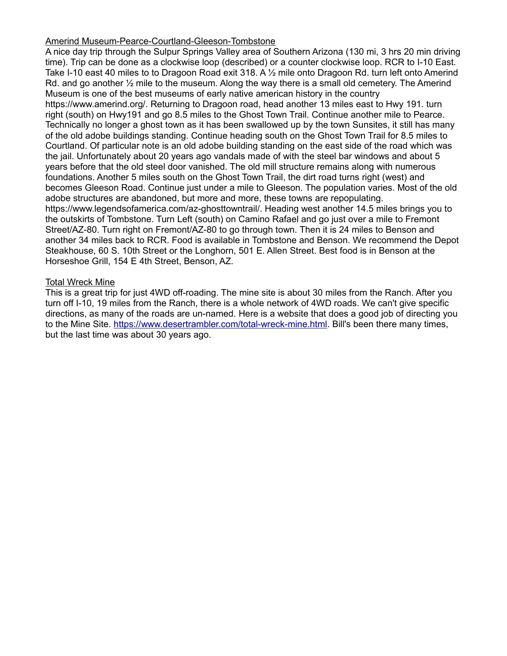## Amerind Museum-Pearce-Courtland-Gleeson-Tombstone

A nice day trip through the Sulpur Springs Valley area of Southern Arizona (130 mi, 3 hrs 20 min driving time). Trip can be done as a clockwise loop (described) or a counter clockwise loop. RCR to I-10 East. Take I-10 east 40 miles to to Dragoon Road exit 318. A 1/2 mile onto Dragoon Rd. turn left onto Amerind Rd. and go another ½ mile to the museum. Along the way there is a small old cemetery. The Amerind Museum is one of the best museums of early native american history in the country https://www.amerind.org/. Returning to Dragoon road, head another 13 miles east to Hwy 191. turn right (south) on Hwy191 and go 8.5 miles to the Ghost Town Trail. Continue another mile to Pearce. Technically no longer a ghost town as it has been swallowed up by the town Sunsites, it still has many of the old adobe buildings standing. Continue heading south on the Ghost Town Trail for 8.5 miles to Courtland. Of particular note is an old adobe building standing on the east side of the road which was the jail. Unfortunately about 20 years ago vandals made of with the steel bar windows and about 5 years before that the old steel door vanished. The old mill structure remains along with numerous foundations. Another 5 miles south on the Ghost Town Trail, the dirt road turns right (west) and becomes Gleeson Road. Continue just under a mile to Gleeson. The population varies. Most of the old adobe structures are abandoned, but more and more, these towns are repopulating. https://www.legendsofamerica.com/az-ghosttowntrail/. Heading west another 14.5 miles brings you to the outskirts of Tombstone. Turn Left (south) on Camino Rafael and go just over a mile to Fremont Street/AZ-80. Turn right on Fremont/AZ-80 to go through town. Then it is 24 miles to Benson and another 34 miles back to RCR. Food is available in Tombstone and Benson. We recommend the Depot Steakhouse, 60 S. 10th Street or the Longhorn, 501 E. Allen Street. Best food is in Benson at the Horseshoe Grill, 154 E 4th Street, Benson, AZ.

#### Total Wreck Mine

This is a great trip for just 4WD off-roading. The mine site is about 30 miles from the Ranch. After you turn off I-10, 19 miles from the Ranch, there is a whole network of 4WD roads. We can't give specific directions, as many of the roads are un-named. Here is a website that does a good job of directing you to the Mine Site. [https://www.desertrambler.com/total-wreck-mine.html.](https://www.desertrambler.com/total-wreck-mine.html) Bill's been there many times, but the last time was about 30 years ago.